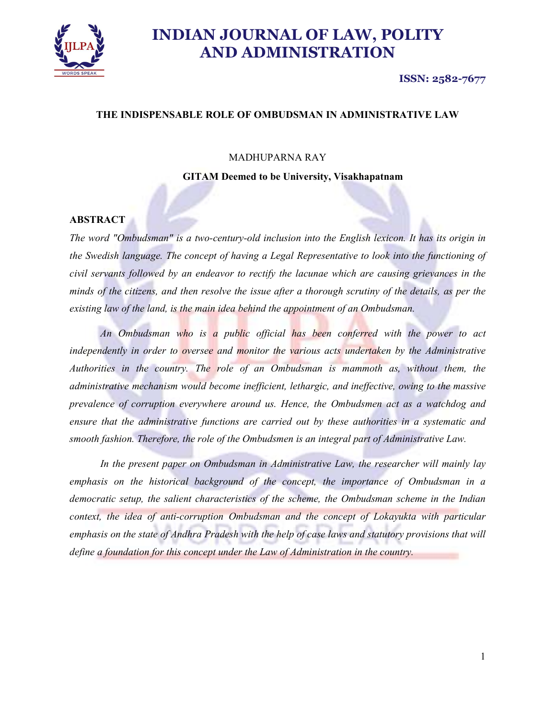

#### ISSN: 2582-7677

## THE INDISPENSABLE ROLE OF OMBUDSMAN IN ADMINISTRATIVE LAW

#### MADHUPARNA RAY

GITAM Deemed to be University, Visakhapatnam

#### **ABSTRACT**

The word "Ombudsman" is a two-century-old inclusion into the English lexicon. It has its origin in the Swedish language. The concept of having a Legal Representative to look into the functioning of civil servants followed by an endeavor to rectify the lacunae which are causing grievances in the minds of the citizens, and then resolve the issue after a thorough scrutiny of the details, as per the existing law of the land, is the main idea behind the appointment of an Ombudsman.

An Ombudsman who is a public official has been conferred with the power to act independently in order to oversee and monitor the various acts undertaken by the Administrative Authorities in the country. The role of an Ombudsman is mammoth as, without them, the administrative mechanism would become inefficient, lethargic, and ineffective, owing to the massive prevalence of corruption everywhere around us. Hence, the Ombudsmen act as a watchdog and ensure that the administrative functions are carried out by these authorities in a systematic and smooth fashion. Therefore, the role of the Ombudsmen is an integral part of Administrative Law.

In the present paper on Ombudsman in Administrative Law, the researcher will mainly lay emphasis on the historical background of the concept, the importance of Ombudsman in a democratic setup, the salient characteristics of the scheme, the Ombudsman scheme in the Indian context, the idea of anti-corruption Ombudsman and the concept of Lokayukta with particular emphasis on the state of Andhra Pradesh with the help of case laws and statutory provisions that will define a foundation for this concept under the Law of Administration in the country.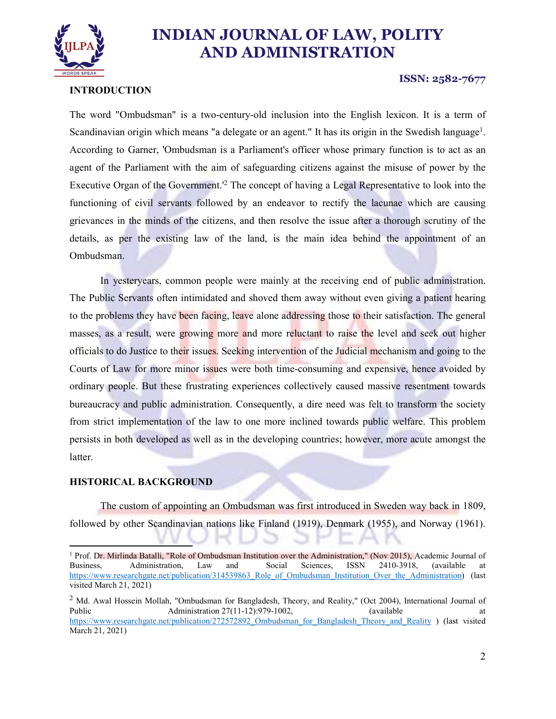

## INTRODUCTION

#### ISSN: 2582-7677

The word "Ombudsman" is a two-century-old inclusion into the English lexicon. It is a term of Scandinavian origin which means "a delegate or an agent." It has its origin in the Swedish language<sup>1</sup>. . According to Garner, 'Ombudsman is a Parliament's officer whose primary function is to act as an agent of the Parliament with the aim of safeguarding citizens against the misuse of power by the Executive Organ of the Government.<sup>12</sup> The concept of having a Legal Representative to look into the functioning of civil servants followed by an endeavor to rectify the lacunae which are causing grievances in the minds of the citizens, and then resolve the issue after a thorough scrutiny of the details, as per the existing law of the land, is the main idea behind the appointment of an Ombudsman.

In yesteryears, common people were mainly at the receiving end of public administration. The Public Servants often intimidated and shoved them away without even giving a patient hearing to the problems they have been facing, leave alone addressing those to their satisfaction. The general masses, as a result, were growing more and more reluctant to raise the level and seek out higher officials to do Justice to their issues. Seeking intervention of the Judicial mechanism and going to the Courts of Law for more minor issues were both time-consuming and expensive, hence avoided by ordinary people. But these frustrating experiences collectively caused massive resentment towards bureaucracy and public administration. Consequently, a dire need was felt to transform the society from strict implementation of the law to one more inclined towards public welfare. This problem persists in both developed as well as in the developing countries; however, more acute amongst the latter.

#### HISTORICAL BACKGROUND

The custom of appointing an Ombudsman was first introduced in Sweden way back in 1809, followed by other Scandinavian nations like Finland (1919), Denmark (1955), and Norway (1961).

<sup>1&</sup>lt;br><sup>1</sup> Prof. Dr. Mirlinda Batalli, "Role of Ombudsman Institution over the Administration," (Nov 2015), Academic Journal of Business, Administration, Law and Social Sciences, ISSN 2410-3918, (available at https://www.researchgate.net/publication/314539863\_Role\_of\_Ombudsman\_Institution\_Over\_the\_Administration) (last visited March 21, 2021)

 $2$  Md. Awal Hossein Mollah, "Ombudsman for Bangladesh, Theory, and Reality," (Oct 2004), International Journal of Public Administration 27(11-12):979-1002, (available at at https://www.researchgate.net/publication/272572892\_Ombudsman\_for\_Bangladesh\_Theory\_and\_Reality ) (last visited March 21, 2021)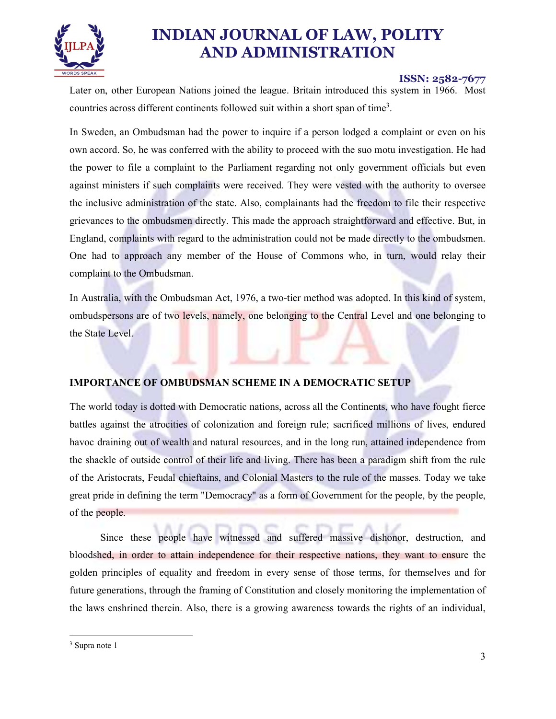

#### ISSN: 2582-7677

Later on, other European Nations joined the league. Britain introduced this system in 1966. Most countries across different continents followed suit within a short span of time3

. In Sweden, an Ombudsman had the power to inquire if a person lodged a complaint or even on his own accord. So, he was conferred with the ability to proceed with the suo motu investigation. He had the power to file a complaint to the Parliament regarding not only government officials but even against ministers if such complaints were received. They were vested with the authority to oversee the inclusive administration of the state. Also, complainants had the freedom to file their respective grievances to the ombudsmen directly. This made the approach straightforward and effective. But, in England, complaints with regard to the administration could not be made directly to the ombudsmen. One had to approach any member of the House of Commons who, in turn, would relay their complaint to the Ombudsman.

In Australia, with the Ombudsman Act, 1976, a two-tier method was adopted. In this kind of system, ombudspersons are of two levels, namely, one belonging to the Central Level and one belonging to the State Level.

## IMPORTANCE OF OMBUDSMAN SCHEME IN A DEMOCRATIC SETUP

The world today is dotted with Democratic nations, across all the Continents, who have fought fierce battles against the atrocities of colonization and foreign rule; sacrificed millions of lives, endured havoc draining out of wealth and natural resources, and in the long run, attained independence from the shackle of outside control of their life and living. There has been a paradigm shift from the rule of the Aristocrats, Feudal chieftains, and Colonial Masters to the rule of the masses. Today we take great pride in defining the term "Democracy" as a form of Government for the people, by the people, of the people.

Since these people have witnessed and suffered massive dishonor, destruction, and bloodshed, in order to attain independence for their respective nations, they want to ensure the golden principles of equality and freedom in every sense of those terms, for themselves and for future generations, through the framing of Constitution and closely monitoring the implementation of the laws enshrined therein. Also, there is a growing awareness towards the rights of an individual,

<sup>&</sup>lt;sup>3</sup> Supra note 1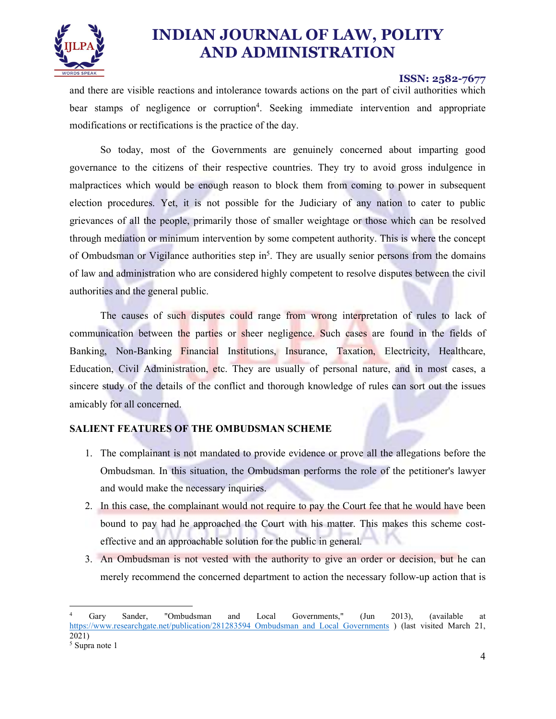

#### ISSN: 2582-7677

and there are visible reactions and intolerance towards actions on the part of civil authorities which bear stamps of negligence or corruption<sup>4</sup>. Seeking immediate intervention and appropriate modifications or rectifications is the practice of the day.

So today, most of the Governments are genuinely concerned about imparting good governance to the citizens of their respective countries. They try to avoid gross indulgence in malpractices which would be enough reason to block them from coming to power in subsequent election procedures. Yet, it is not possible for the Judiciary of any nation to cater to public grievances of all the people, primarily those of smaller weightage or those which can be resolved through mediation or minimum intervention by some competent authority. This is where the concept of Ombudsman or Vigilance authorities step in<sup>5</sup>. They are usually senior persons from the domains of law and administration who are considered highly competent to resolve disputes between the civil authorities and the general public.

The causes of such disputes could range from wrong interpretation of rules to lack of communication between the parties or sheer negligence. Such cases are found in the fields of Banking, Non-Banking Financial Institutions, Insurance, Taxation, Electricity, Healthcare, Education, Civil Administration, etc. They are usually of personal nature, and in most cases, a sincere study of the details of the conflict and thorough knowledge of rules can sort out the issues amicably for all concerned.

## SALIENT FEATURES OF THE OMBUDSMAN SCHEME

- 1. The complainant is not mandated to provide evidence or prove all the allegations before the Ombudsman. In this situation, the Ombudsman performs the role of the petitioner's lawyer and would make the necessary inquiries.
- 2. In this case, the complainant would not require to pay the Court fee that he would have been
- bound to pay had he approached the Court with his matter. This makes this scheme costeffective and an approachable solution for the public in general.
- 3. An Ombudsman is not vested with the authority to give an order or decision, but he can merely recommend the concerned department to action the necessary follow-up action that is

Gary Sander. "Ombudsman Gary Sander, "Ombudsman and Local Governments," (Jun 2013), (available at https://www.researchgate.net/publication/281283594 Ombudsman\_and\_Local\_Governments ) (last visited March 21, 2021)<br><sup>5</sup> Supra note 1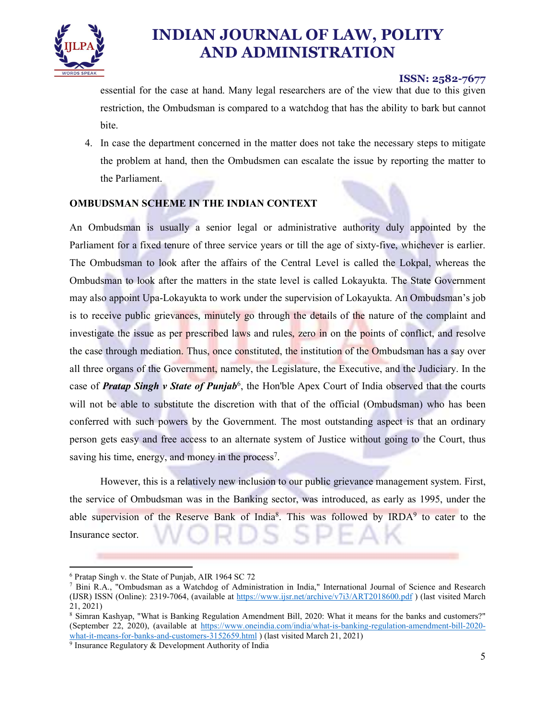

## ISSN: 2582-7677

essential for the case at hand. Many legal researchers are of the view that due to this given restriction, the Ombudsman is compared to a watchdog that has the ability to bark but cannot bite.

4. In case the department concerned in the matter does not take the necessary steps to mitigate the problem at hand, then the Ombudsmen can escalate the issue by reporting the matter to the Parliament.

## OMBUDSMAN SCHEME IN THE INDIAN CONTEXT

An Ombudsman is usually a senior legal or administrative authority duly appointed by the Parliament for a fixed tenure of three service years or till the age of sixty-five, whichever is earlier. The Ombudsman to look after the affairs of the Central Level is called the Lokpal, whereas the Ombudsman to look after the matters in the state level is called Lokayukta. The State Government may also appoint Upa-Lokayukta to work under the supervision of Lokayukta. An Ombudsman's job is to receive public grievances, minutely go through the details of the nature of the complaint and investigate the issue as per prescribed laws and rules, zero in on the points of conflict, and resolve the case through mediation. Thus, once constituted, the institution of the Ombudsman has a say over all three organs of the Government, namely, the Legislature, the Executive, and the Judiciary. In the case of *Pratap Singh v State of Punjab*<sup>6</sup>, the Hon'ble Apex Court of India observed that the courts will not be able to substitute the discretion with that of the official (Ombudsman) who has been conferred with such powers by the Government. The most outstanding aspect is that an ordinary person gets easy and free access to an alternate system of Justice without going to the Court, thus saving his time, energy, and money in the process<sup>7</sup>.

. However, this is a relatively new inclusion to our public grievance management system. First, the service of Ombudsman was in the Banking sector, was introduced, as early as 1995, under the able supervision of the Reserve Bank of India<sup>8</sup>. This was followed by IRDA<sup>9</sup> to cater to the Insurance sector.

 $6$  Pratan Singh v, the State of Punjab, AIR 1 <sup>6</sup> Pratap Singh v. the State of Punjab, AIR 1964 SC 72<sup>7</sup> Bini R.A. "Ombudsman as a Watchdog of Admini

Bini R.A., "Ombudsman as a Watchdog of Administration in India," International Journal of Science and Research (IJSR) ISSN (Online): 2319-7064, (available at https://www.ijsr.net/archive/v7i3/ART2018600.pdf ) (last visited March 21, 2021)<br><sup>8</sup> Simran Kashyap, "What is Banking Regulation Amendment Bill, 2020: What it means for the banks and customers?"

<sup>(</sup>September 22, 2020), (available at https://www.oneindia.com/india/what-is-banking-regulation-amendment-bill-2020 what-it-means-for-banks-and-customers-3152659.html ) (last visited March 21, 2021)

 $9$  Insurance Regulatory & Development Authority of India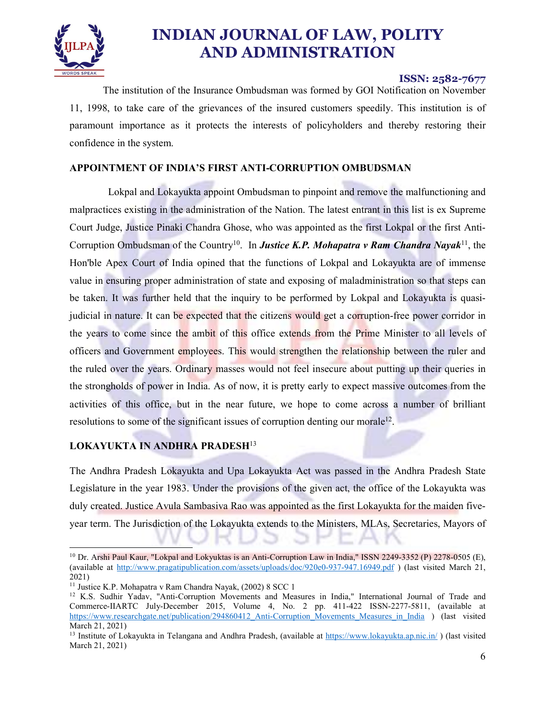

## ISSN: 2582-7677

 The institution of the Insurance Ombudsman was formed by GOI Notification on November 11, 1998, to take care of the grievances of the insured customers speedily. This institution is of paramount importance as it protects the interests of policyholders and thereby restoring their confidence in the system.

## APPOINTMENT OF INDIA'S FIRST ANTI-CORRUPTION OMBUDSMAN

 Lokpal and Lokayukta appoint Ombudsman to pinpoint and remove the malfunctioning and malpractices existing in the administration of the Nation. The latest entrant in this list is ex Supreme Court Judge, Justice Pinaki Chandra Ghose, who was appointed as the first Lokpal or the first Anti-Corruption Ombudsman of the Country<sup>10</sup>. In **Justice K.P. Mohapatra v Ram Chandra Nayak**<sup>11</sup>, the Hon'ble Apex Court of India opined that the functions of Lokpal and Lokayukta are of immense value in ensuring proper administration of state and exposing of maladministration so that steps can be taken. It was further held that the inquiry to be performed by Lokpal and Lokayukta is quasijudicial in nature. It can be expected that the citizens would get a corruption-free power corridor in the years to come since the ambit of this office extends from the Prime Minister to all levels of officers and Government employees. This would strengthen the relationship between the ruler and the ruled over the years. Ordinary masses would not feel insecure about putting up their queries in the strongholds of power in India. As of now, it is pretty early to expect massive outcomes from the activities of this office, but in the near future, we hope to come across a number of brilliant resolutions to some of the significant issues of corruption denting our morale<sup>12</sup>.

## LOKAYUKTA IN ANDHRA PRADESH<sup>13</sup>

The Andhra Pradesh Lokayukta and Upa Lokayukta Act was passed in the Andhra Pradesh State Legislature in the year 1983. Under the provisions of the given act, the office of the Lokayukta was duly created. Justice Avula Sambasiva Rao was appointed as the first Lokayukta for the maiden fiveyear term. The Jurisdiction of the Lokayukta extends to the Ministers, MLAs, Secretaries, Mayors of

<sup>&</sup>lt;sup>10</sup> Dr. Arshi Paul Kaur, "Lokpal and Lokyuktas is an Anti-Corruption Law in India," ISSN 2249-3352 (P) 2278-0505 (E), (available at http://www.pragatipublication.com/assets/uploads/doc/920e0-937-947.16949.pdf ) (last visited March 21, 2021)<br><sup>11</sup> Justice K.P. Mohapatra v Ram Chandra Nayak, (2002) 8 SCC 1<br><sup>12</sup> K.S. Sudhir Yadav, "Anti-Corruption Movements and Measures in India," International Journal of Trade and

Commerce-IIARTC July-December 2015, Volume 4, No. 2 pp. 411-422 ISSN-2277-5811, (available at https://www.researchgate.net/publication/294860412 Anti-Corruption Movements Measures in India ) (last visited March 21, 2021)<br><sup>13</sup> Institute of Lokayukta in Telangana and Andhra Pradesh, (available at https://www.lokayukta.ap.nic.in/) (last visited

March 21, 2021)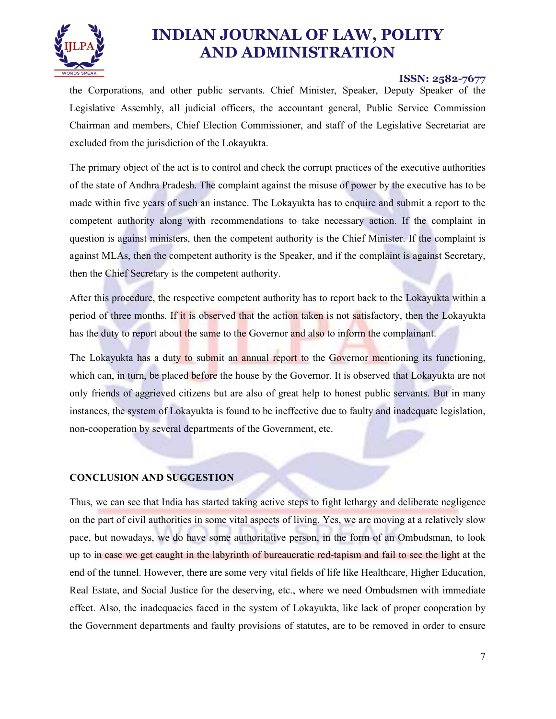

#### ISSN: 2582-7677

the Corporations, and other public servants. Chief Minister, Speaker, Deputy Speaker of the Legislative Assembly, all judicial officers, the accountant general, Public Service Commission Chairman and members, Chief Election Commissioner, and staff of the Legislative Secretariat are excluded from the jurisdiction of the Lokayukta.

The primary object of the act is to control and check the corrupt practices of the executive authorities of the state of Andhra Pradesh. The complaint against the misuse of power by the executive has to be made within five years of such an instance. The Lokayukta has to enquire and submit a report to the competent authority along with recommendations to take necessary action. If the complaint in question is against ministers, then the competent authority is the Chief Minister. If the complaint is against MLAs, then the competent authority is the Speaker, and if the complaint is against Secretary, then the Chief Secretary is the competent authority.

After this procedure, the respective competent authority has to report back to the Lokayukta within a period of three months. If it is observed that the action taken is not satisfactory, then the Lokayukta has the duty to report about the same to the Governor and also to inform the complainant.

The Lokayukta has a duty to submit an annual report to the Governor mentioning its functioning, which can, in turn, be placed before the house by the Governor. It is observed that Lokayukta are not only friends of aggrieved citizens but are also of great help to honest public servants. But in many instances, the system of Lokayukta is found to be ineffective due to faulty and inadequate legislation, non-cooperation by several departments of the Government, etc.

CONCLUSION AND SUGGESTION<br>Thus, we can see that India has started taking active steps to fight lethargy and deliberate negligence on the part of civil authorities in some vital aspects of living. Yes, we are moving at a relatively slow pace, but nowadays, we do have some authoritative person, in the form of an Ombudsman, to look up to in case we get caught in the labyrinth of bureaucratic red-tapism and fail to see the light at the end of the tunnel. However, there are some very vital fields of life like Healthcare, Higher Education, Real Estate, and Social Justice for the deserving, etc., where we need Ombudsmen with immediate effect. Also, the inadequacies faced in the system of Lokayukta, like lack of proper cooperation by the Government departments and faulty provisions of statutes, are to be removed in order to ensure